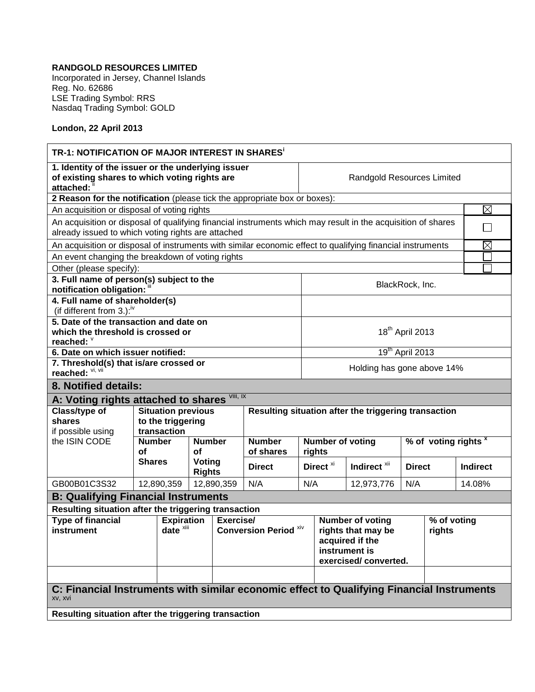## **RANDGOLD RESOURCES LIMITED**

Incorporated in Jersey, Channel Islands Reg. No. 62686 LSE Trading Symbol: RRS Nasdaq Trading Symbol: GOLD

## **London, 22 April 2013**

| TR-1: NOTIFICATION OF MAJOR INTEREST IN SHARES'                                                                                                                    |                              |                                           |            |                                           |                                                   |                                                                                                           |                                   |               |                       |                 |  |  |
|--------------------------------------------------------------------------------------------------------------------------------------------------------------------|------------------------------|-------------------------------------------|------------|-------------------------------------------|---------------------------------------------------|-----------------------------------------------------------------------------------------------------------|-----------------------------------|---------------|-----------------------|-----------------|--|--|
| 1. Identity of the issuer or the underlying issuer<br>of existing shares to which voting rights are<br>attached:                                                   |                              |                                           |            |                                           |                                                   |                                                                                                           | <b>Randgold Resources Limited</b> |               |                       |                 |  |  |
| 2 Reason for the notification (please tick the appropriate box or boxes):                                                                                          |                              |                                           |            |                                           |                                                   |                                                                                                           |                                   |               |                       |                 |  |  |
| An acquisition or disposal of voting rights                                                                                                                        |                              |                                           |            |                                           |                                                   |                                                                                                           |                                   |               |                       |                 |  |  |
| An acquisition or disposal of qualifying financial instruments which may result in the acquisition of shares<br>already issued to which voting rights are attached |                              |                                           |            |                                           |                                                   |                                                                                                           |                                   |               |                       |                 |  |  |
| An acquisition or disposal of instruments with similar economic effect to qualifying financial instruments                                                         |                              |                                           |            |                                           |                                                   |                                                                                                           |                                   |               |                       |                 |  |  |
| An event changing the breakdown of voting rights                                                                                                                   |                              |                                           |            |                                           |                                                   |                                                                                                           |                                   |               |                       |                 |  |  |
| Other (please specify):                                                                                                                                            |                              |                                           |            |                                           |                                                   |                                                                                                           |                                   |               |                       |                 |  |  |
| 3. Full name of person(s) subject to the<br>BlackRock, Inc.<br>notification obligation:                                                                            |                              |                                           |            |                                           |                                                   |                                                                                                           |                                   |               |                       |                 |  |  |
| 4. Full name of shareholder(s)<br>(if different from 3.): <sup>iv</sup>                                                                                            |                              |                                           |            |                                           |                                                   |                                                                                                           |                                   |               |                       |                 |  |  |
| 5. Date of the transaction and date on<br>18 <sup>th</sup> April 2013<br>which the threshold is crossed or<br>reached: V                                           |                              |                                           |            |                                           |                                                   |                                                                                                           |                                   |               |                       |                 |  |  |
| 6. Date on which issuer notified:                                                                                                                                  |                              |                                           |            |                                           |                                                   |                                                                                                           | 19 <sup>th</sup> April 2013       |               |                       |                 |  |  |
| 7. Threshold(s) that is/are crossed or                                                                                                                             |                              |                                           |            |                                           |                                                   |                                                                                                           | Holding has gone above 14%        |               |                       |                 |  |  |
| reached: Vi, Vii                                                                                                                                                   |                              |                                           |            |                                           |                                                   |                                                                                                           |                                   |               |                       |                 |  |  |
| 8. Notified details:                                                                                                                                               |                              |                                           |            |                                           |                                                   |                                                                                                           |                                   |               |                       |                 |  |  |
| A: Voting rights attached to shares                                                                                                                                |                              |                                           | VIII, IX   |                                           |                                                   |                                                                                                           |                                   |               |                       |                 |  |  |
| Class/type of                                                                                                                                                      |                              | <b>Situation previous</b>                 |            |                                           |                                                   | Resulting situation after the triggering transaction                                                      |                                   |               |                       |                 |  |  |
| shares                                                                                                                                                             |                              | to the triggering                         |            |                                           |                                                   |                                                                                                           |                                   |               |                       |                 |  |  |
| if possible using<br>the ISIN CODE                                                                                                                                 | transaction<br><b>Number</b> | <b>Number</b>                             |            | <b>Number</b>                             | % of voting rights $x$<br><b>Number of voting</b> |                                                                                                           |                                   |               |                       |                 |  |  |
|                                                                                                                                                                    | οf                           | οf                                        |            | of shares                                 |                                                   | rights                                                                                                    |                                   |               |                       |                 |  |  |
|                                                                                                                                                                    | <b>Shares</b>                | Voting<br><b>Rights</b>                   |            | <b>Direct</b>                             |                                                   | Direct <sup>xi</sup>                                                                                      | Indirect <sup>xii</sup>           | <b>Direct</b> |                       | <b>Indirect</b> |  |  |
| GB00B01C3S32                                                                                                                                                       | 12,890,359                   |                                           | 12,890,359 | N/A                                       | N/A                                               |                                                                                                           | 12,973,776                        | N/A           |                       | 14.08%          |  |  |
| <b>B: Qualifying Financial Instruments</b>                                                                                                                         |                              |                                           |            |                                           |                                                   |                                                                                                           |                                   |               |                       |                 |  |  |
| Resulting situation after the triggering transaction                                                                                                               |                              |                                           |            |                                           |                                                   |                                                                                                           |                                   |               |                       |                 |  |  |
| <b>Type of financial</b><br>instrument                                                                                                                             |                              | <b>Expiration</b><br>date <sup>xiii</sup> |            | Exercise/<br><b>Conversion Period ***</b> |                                                   | <b>Number of voting</b><br>rights that may be<br>acquired if the<br>instrument is<br>exercised/converted. |                                   |               | % of voting<br>rights |                 |  |  |
| C: Financial Instruments with similar economic effect to Qualifying Financial Instruments<br>xv, xvi<br>Resulting situation after the triggering transaction       |                              |                                           |            |                                           |                                                   |                                                                                                           |                                   |               |                       |                 |  |  |